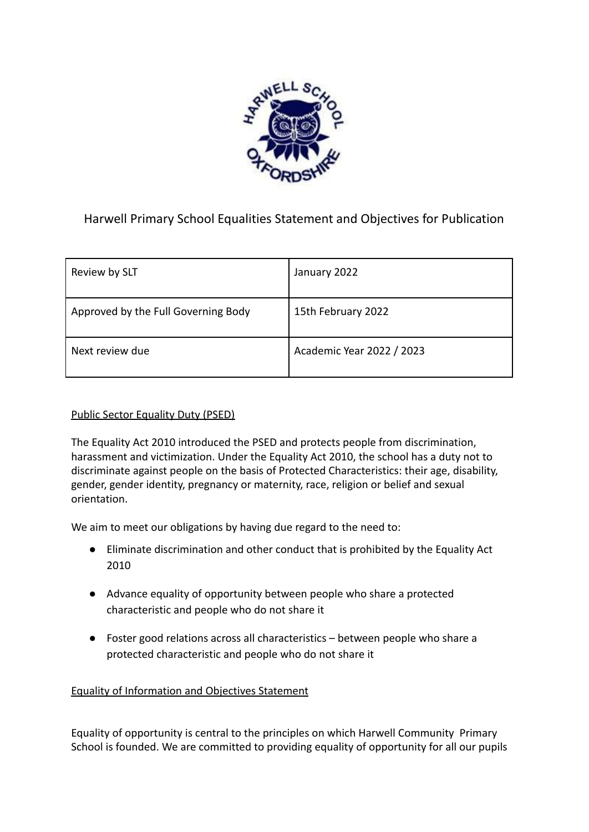

# Harwell Primary School Equalities Statement and Objectives for Publication

| Review by SLT                       | January 2022              |
|-------------------------------------|---------------------------|
| Approved by the Full Governing Body | 15th February 2022        |
| Next review due                     | Academic Year 2022 / 2023 |

#### Public Sector Equality Duty (PSED)

The Equality Act 2010 introduced the PSED and protects people from discrimination, harassment and victimization. Under the Equality Act 2010, the school has a duty not to discriminate against people on the basis of Protected Characteristics: their age, disability, gender, gender identity, pregnancy or maternity, race, religion or belief and sexual orientation.

We aim to meet our obligations by having due regard to the need to:

- Eliminate discrimination and other conduct that is prohibited by the Equality Act 2010
- Advance equality of opportunity between people who share a protected characteristic and people who do not share it
- Foster good relations across all characteristics between people who share a protected characteristic and people who do not share it

#### Equality of Information and Objectives Statement

Equality of opportunity is central to the principles on which Harwell Community Primary School is founded. We are committed to providing equality of opportunity for all our pupils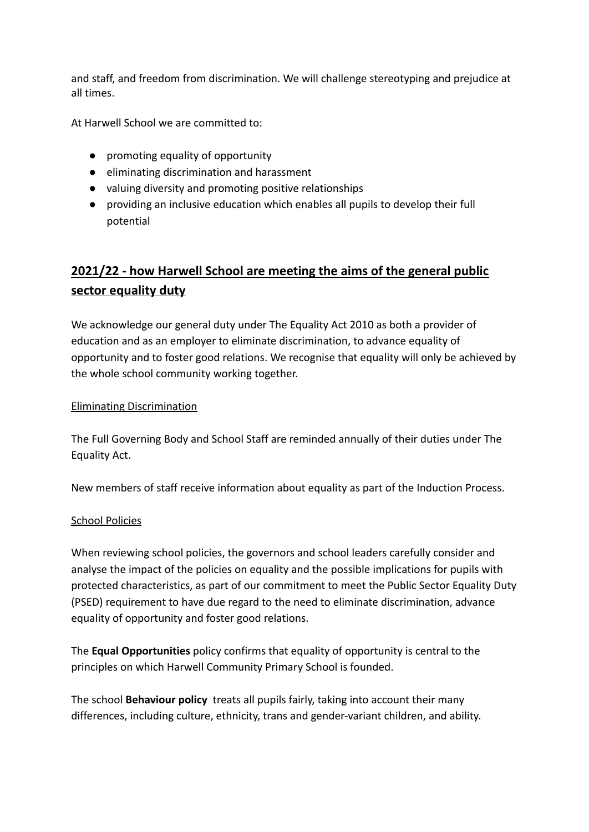and staff, and freedom from discrimination. We will challenge stereotyping and prejudice at all times.

At Harwell School we are committed to:

- promoting equality of opportunity
- eliminating discrimination and harassment
- valuing diversity and promoting positive relationships
- providing an inclusive education which enables all pupils to develop their full potential

# **2021/22 - how Harwell School are meeting the aims of the general public sector equality duty**

We acknowledge our general duty under The Equality Act 2010 as both a provider of education and as an employer to eliminate discrimination, to advance equality of opportunity and to foster good relations. We recognise that equality will only be achieved by the whole school community working together.

### Eliminating Discrimination

The Full Governing Body and School Staff are reminded annually of their duties under The Equality Act.

New members of staff receive information about equality as part of the Induction Process.

#### School Policies

When reviewing school policies, the governors and school leaders carefully consider and analyse the impact of the policies on equality and the possible implications for pupils with protected characteristics, as part of our commitment to meet the Public Sector Equality Duty (PSED) requirement to have due regard to the need to eliminate discrimination, advance equality of opportunity and foster good relations.

The **Equal Opportunities** policy confirms that equality of opportunity is central to the principles on which Harwell Community Primary School is founded.

The school **Behaviour policy** treats all pupils fairly, taking into account their many differences, including culture, ethnicity, trans and gender-variant children, and ability.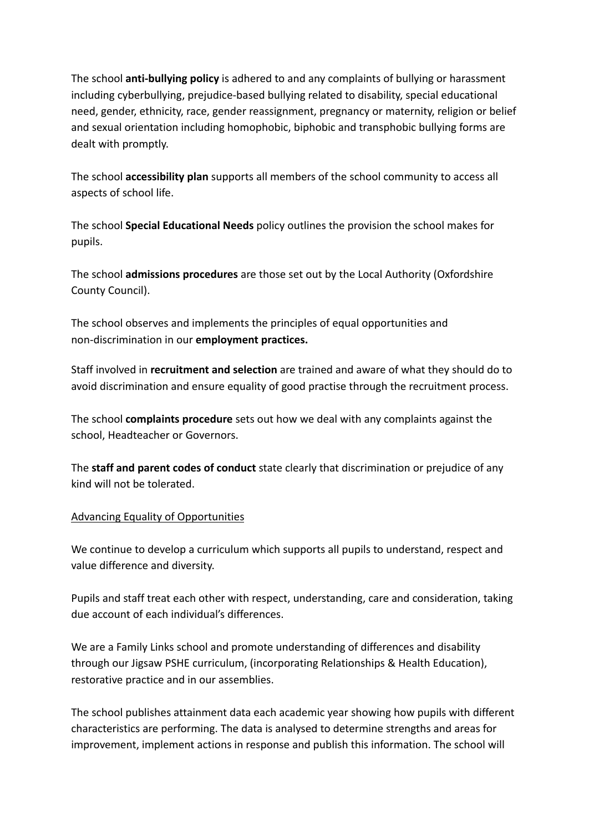The school **anti-bullying policy** is adhered to and any complaints of bullying or harassment including cyberbullying, prejudice-based bullying related to disability, special educational need, gender, ethnicity, race, gender reassignment, pregnancy or maternity, religion or belief and sexual orientation including homophobic, biphobic and transphobic bullying forms are dealt with promptly.

The school **accessibility plan** supports all members of the school community to access all aspects of school life.

The school **Special Educational Needs** policy outlines the provision the school makes for pupils.

The school **admissions procedures** are those set out by the Local Authority (Oxfordshire County Council).

The school observes and implements the principles of equal opportunities and non-discrimination in our **employment practices.**

Staff involved in **recruitment and selection** are trained and aware of what they should do to avoid discrimination and ensure equality of good practise through the recruitment process.

The school **complaints procedure** sets out how we deal with any complaints against the school, Headteacher or Governors.

The **staff and parent codes of conduct** state clearly that discrimination or prejudice of any kind will not be tolerated.

#### Advancing Equality of Opportunities

We continue to develop a curriculum which supports all pupils to understand, respect and value difference and diversity.

Pupils and staff treat each other with respect, understanding, care and consideration, taking due account of each individual's differences.

We are a Family Links school and promote understanding of differences and disability through our Jigsaw PSHE curriculum, (incorporating Relationships & Health Education), restorative practice and in our assemblies.

The school publishes attainment data each academic year showing how pupils with different characteristics are performing. The data is analysed to determine strengths and areas for improvement, implement actions in response and publish this information. The school will